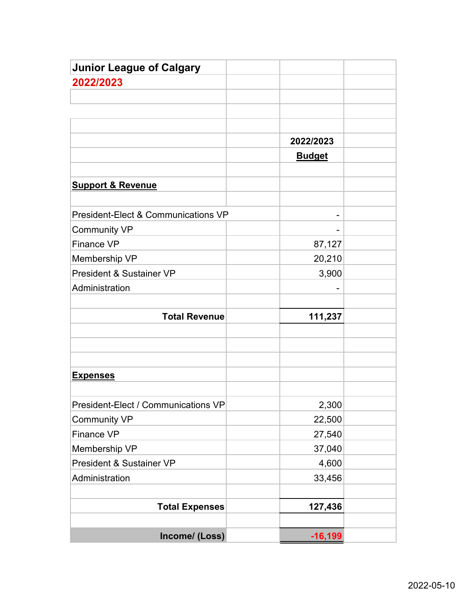| <b>Junior League of Calgary</b>                |               |  |
|------------------------------------------------|---------------|--|
| 2022/2023                                      |               |  |
|                                                |               |  |
|                                                |               |  |
|                                                |               |  |
|                                                | 2022/2023     |  |
|                                                | <b>Budget</b> |  |
|                                                |               |  |
| <b>Support &amp; Revenue</b>                   |               |  |
|                                                |               |  |
| <b>President-Elect &amp; Communications VP</b> |               |  |
| <b>Community VP</b>                            |               |  |
| <b>Finance VP</b>                              | 87,127        |  |
| Membership VP                                  | 20,210        |  |
| <b>President &amp; Sustainer VP</b>            | 3,900         |  |
| Administration                                 |               |  |
|                                                |               |  |
| <b>Total Revenue</b>                           | 111,237       |  |
|                                                |               |  |
|                                                |               |  |
|                                                |               |  |
| <u>Expenses</u>                                |               |  |
|                                                |               |  |
| President-Elect / Communications VP            | 2,300         |  |
| <b>Community VP</b>                            | 22,500        |  |
| Finance VP                                     | 27,540        |  |
| Membership VP                                  | 37,040        |  |
| President & Sustainer VP                       | 4,600         |  |
| Administration                                 | 33,456        |  |
|                                                |               |  |
| <b>Total Expenses</b>                          | 127,436       |  |
|                                                |               |  |
| Income/ (Loss)                                 | $-16,199$     |  |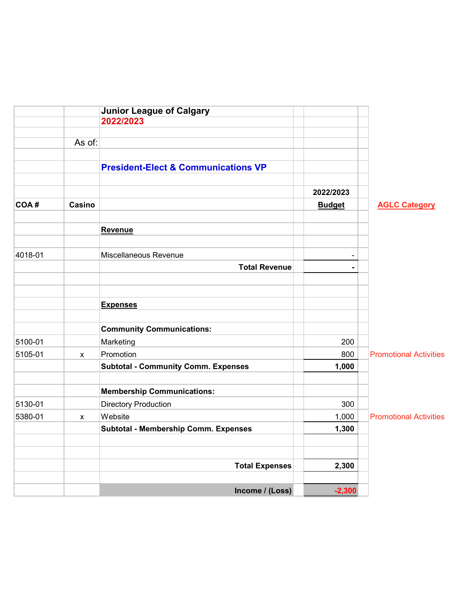|         |              | <b>Junior League of Calgary</b>                |               |                               |
|---------|--------------|------------------------------------------------|---------------|-------------------------------|
|         |              | 2022/2023                                      |               |                               |
|         |              |                                                |               |                               |
|         | As of:       |                                                |               |                               |
|         |              | <b>President-Elect &amp; Communications VP</b> |               |                               |
|         |              |                                                | 2022/2023     |                               |
| COA#    | Casino       |                                                | <b>Budget</b> | <b>AGLC Category</b>          |
|         |              | Revenue                                        |               |                               |
| 4018-01 |              | Miscellaneous Revenue                          |               |                               |
|         |              | <b>Total Revenue</b>                           |               |                               |
|         |              | <b>Expenses</b>                                |               |                               |
|         |              | <b>Community Communications:</b>               |               |                               |
| 5100-01 |              | Marketing                                      | 200           |                               |
| 5105-01 | $\mathsf{x}$ | Promotion                                      | 800           | <b>Promotional Activities</b> |
|         |              | <b>Subtotal - Community Comm. Expenses</b>     | 1,000         |                               |
|         |              | <b>Membership Communications:</b>              |               |                               |
| 5130-01 |              | <b>Directory Production</b>                    | 300           |                               |
| 5380-01 | X            | Website                                        | 1,000         | <b>Promotional Activities</b> |
|         |              | <b>Subtotal - Membership Comm. Expenses</b>    | 1,300         |                               |
|         |              | <b>Total Expenses</b>                          | 2,300         |                               |
|         |              | Income / (Loss)                                | $-2,300$      |                               |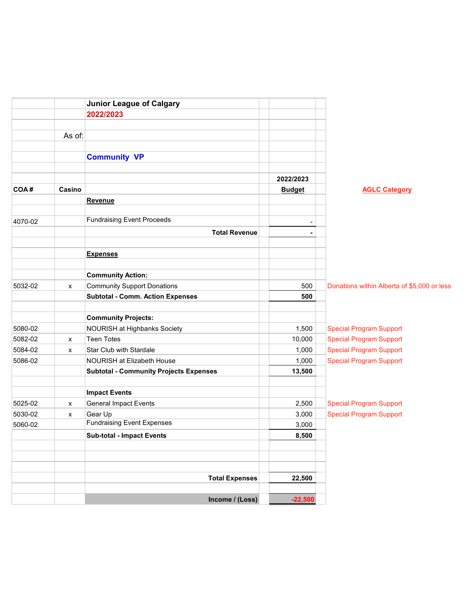|         |        | <b>Junior League of Calgary</b>               |               |                                             |
|---------|--------|-----------------------------------------------|---------------|---------------------------------------------|
|         |        | 2022/2023                                     |               |                                             |
|         |        |                                               |               |                                             |
|         | As of: |                                               |               |                                             |
|         |        |                                               |               |                                             |
|         |        | <b>Community VP</b>                           |               |                                             |
|         |        |                                               |               |                                             |
|         |        |                                               | 2022/2023     |                                             |
| COA#    | Casino |                                               | <b>Budget</b> | <b>AGLC Category</b>                        |
|         |        | Revenue                                       |               |                                             |
| 4070-02 |        | <b>Fundraising Event Proceeds</b>             |               |                                             |
|         |        | <b>Total Revenue</b>                          |               |                                             |
|         |        |                                               |               |                                             |
|         |        | <b>Expenses</b>                               |               |                                             |
|         |        |                                               |               |                                             |
|         |        | <b>Community Action:</b>                      |               |                                             |
| 5032-02 | x      | <b>Community Support Donations</b>            | 500           | Donations within Alberta of \$5,000 or less |
|         |        | <b>Subtotal - Comm. Action Expenses</b>       | 500           |                                             |
|         |        |                                               |               |                                             |
|         |        | <b>Community Projects:</b>                    |               |                                             |
| 5080-02 |        | NOURISH at Highbanks Society                  | 1,500         | <b>Special Program Support</b>              |
| 5082-02 | x      | <b>Teen Totes</b>                             | 10,000        | <b>Special Program Support</b>              |
| 5084-02 | x      | Star Club with Stardale                       | 1,000         | <b>Special Program Support</b>              |
| 5086-02 |        | NOURISH at Elizabeth House                    | 1,000         | <b>Special Program Support</b>              |
|         |        | <b>Subtotal - Community Projects Expenses</b> | 13,500        |                                             |
|         |        |                                               |               |                                             |
|         |        | <b>Impact Events</b>                          |               |                                             |
| 5025-02 | x      | <b>General Impact Events</b>                  | 2,500         | <b>Special Program Support</b>              |
| 5030-02 | X      | Gear Up<br><b>Fundraising Event Expenses</b>  | 3,000         | <b>Special Program Support</b>              |
| 5060-02 |        |                                               | 3,000         |                                             |
|         |        | <b>Sub-total - Impact Events</b>              | 8,500         |                                             |
|         |        |                                               |               |                                             |
|         |        |                                               |               |                                             |
|         |        | <b>Total Expenses</b>                         | 22,500        |                                             |
|         |        |                                               |               |                                             |
|         |        | Income / (Loss)                               | $-22,500$     |                                             |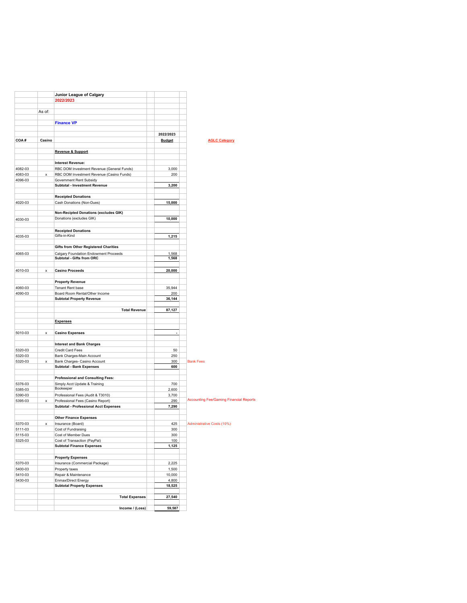|                    |        | Junior League of Calgary                                                  |                      |                                                |
|--------------------|--------|---------------------------------------------------------------------------|----------------------|------------------------------------------------|
|                    |        | 2022/2023                                                                 |                      |                                                |
|                    | As of: |                                                                           |                      |                                                |
|                    |        |                                                                           |                      |                                                |
|                    |        | <b>Finance VP</b>                                                         |                      |                                                |
|                    |        |                                                                           | 2022/2023            |                                                |
| COA#               | Casino |                                                                           | <b>Budget</b>        | <b>AGLC Category</b>                           |
|                    |        |                                                                           |                      |                                                |
|                    |        | Revenue & Support                                                         |                      |                                                |
|                    |        |                                                                           |                      |                                                |
|                    |        | <b>Interest Revenue:</b>                                                  |                      |                                                |
| 4082-03            |        | RBC DOM Investment Revenue (General Funds)                                | 3,000                |                                                |
| 4083-03<br>4096-03 | x      | RBC DOM Investment Revenue (Casino Funds)                                 | 200                  |                                                |
|                    |        | Government Rent Subsidy<br>Subtotal - Investment Revenue                  | 3,200                |                                                |
|                    |        |                                                                           |                      |                                                |
|                    |        | <b>Receipted Donations</b>                                                |                      |                                                |
| 4020-03            |        | Cash Donations (Non-Dues)                                                 | 15,000               |                                                |
|                    |        |                                                                           |                      |                                                |
|                    |        | <b>Non-Recipted Donations (excludes GIK)</b><br>Donations (excludes GIK)  | 10,000               |                                                |
| 4030-03            |        |                                                                           |                      |                                                |
|                    |        | <b>Receipted Donations</b>                                                |                      |                                                |
| 4035-03            |        | Gifts-in-Kind                                                             | 1,215                |                                                |
|                    |        |                                                                           |                      |                                                |
|                    |        | <b>Gifts from Other Registered Charities</b>                              |                      |                                                |
| 4065-03            |        | Calgary Foundation Endowment Proceeds<br>Subtotal - Gifts from ORC        | 1,568<br>1,568       |                                                |
|                    |        |                                                                           |                      |                                                |
| 4010-03            | x      | <b>Casino Proceeds</b>                                                    | 20,000               |                                                |
|                    |        |                                                                           |                      |                                                |
|                    |        | <b>Property Revenue</b>                                                   |                      |                                                |
| 4060-03            |        | Tenant Rent base                                                          | 35,944               |                                                |
| 4090-03            |        | Board Room Rental/Other Income                                            | 200                  |                                                |
|                    |        | <b>Subtotal Property Revenue</b>                                          | 36,144               |                                                |
|                    |        | <b>Total Revenue</b>                                                      | 87,127               |                                                |
|                    |        |                                                                           |                      |                                                |
|                    |        | <b>Expenses</b>                                                           |                      |                                                |
|                    |        |                                                                           |                      |                                                |
| 5010-03            | x      | <b>Casino Expenses</b>                                                    | $\ddot{\phantom{1}}$ |                                                |
|                    |        | <b>Interest and Bank Charges</b>                                          |                      |                                                |
| 5320-03            |        | Credit Card Fees                                                          | 50                   |                                                |
| 5320-03            |        | Bank Charges-Main Account                                                 | 250                  |                                                |
| 5320-03            | x      | Bank Charges- Casino Account                                              | 300                  | <b>Bank Fees</b>                               |
|                    |        | <b>Subtotal - Bank Expenses</b>                                           | 600                  |                                                |
|                    |        |                                                                           |                      |                                                |
| 5376-03            |        | <b>Professional and Consulting Fees:</b><br>Simply Acct Update & Training | 700                  |                                                |
| 5385-03            |        | Bookeeper                                                                 | 2,600                |                                                |
| 5390-03            |        | Professional Fees (Audit & T3010)                                         | 3,700                |                                                |
| 5395-03            | x      | Professional Fees (Casino Report)                                         | 290                  | <b>Accounting Fee/Gaming Financial Reports</b> |
|                    |        | <b>Subtotal - Professional Acct Expenses</b>                              | 7,290                |                                                |
|                    |        |                                                                           |                      |                                                |
| 5370-03            | x      | <b>Other Finance Expenses</b><br>Insurance (Board)                        | 425                  | Administrative Costs (10%)                     |
| 5111-03            |        | Cost of Fundraising                                                       | 300                  |                                                |
| 5115-03            |        | Cost of Member Dues                                                       | 300                  |                                                |
| 5325-03            |        | Cost of Transaction (PayPal)                                              | 100                  |                                                |
|                    |        | <b>Subtotal Finance Expenses</b>                                          | 1,125                |                                                |
|                    |        |                                                                           |                      |                                                |
|                    |        | <b>Property Expenses</b>                                                  |                      |                                                |
| 5370-03<br>5400-03 |        | Insurance (Commercial Package)<br>Property taxes                          | 2,225<br>1,500       |                                                |
| 5410-03            |        | Repair & Maintenance                                                      | 10,000               |                                                |
| 5430-03            |        | Enmax/Direct Energy                                                       | 4,800                |                                                |
|                    |        | <b>Subtotal Property Expenses</b>                                         | 18,525               |                                                |
|                    |        |                                                                           |                      |                                                |
|                    |        | <b>Total Expenses</b>                                                     | 27,540               |                                                |
|                    |        | Income / (Loss)                                                           | 59,587               |                                                |
|                    |        |                                                                           |                      |                                                |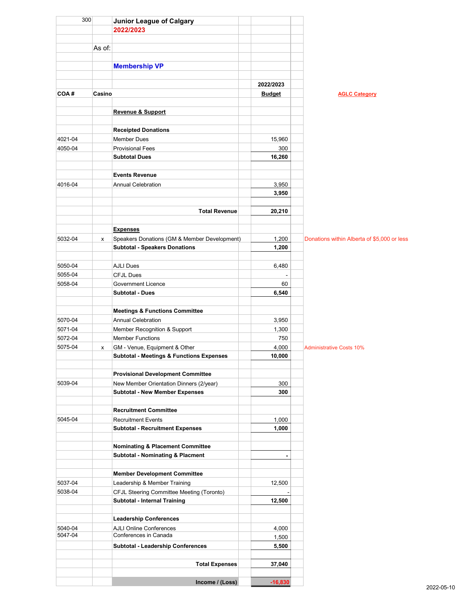| 300                |        | Junior League of Calgary                            |                |                                             |
|--------------------|--------|-----------------------------------------------------|----------------|---------------------------------------------|
|                    |        | 2022/2023                                           |                |                                             |
|                    |        |                                                     |                |                                             |
|                    | As of: |                                                     |                |                                             |
|                    |        |                                                     |                |                                             |
|                    |        | <b>Membership VP</b>                                |                |                                             |
|                    |        |                                                     |                |                                             |
|                    |        |                                                     | 2022/2023      |                                             |
| COA#               | Casino |                                                     | <b>Budget</b>  | <b>AGLC Category</b>                        |
|                    |        | <b>Revenue &amp; Support</b>                        |                |                                             |
|                    |        |                                                     |                |                                             |
|                    |        | <b>Receipted Donations</b>                          |                |                                             |
| 4021-04            |        | <b>Member Dues</b>                                  | 15,960         |                                             |
| 4050-04            |        | <b>Provisional Fees</b>                             | 300            |                                             |
|                    |        | <b>Subtotal Dues</b>                                | 16,260         |                                             |
|                    |        |                                                     |                |                                             |
|                    |        | <b>Events Revenue</b>                               |                |                                             |
| 4016-04            |        | <b>Annual Celebration</b>                           | 3,950          |                                             |
|                    |        |                                                     | 3,950          |                                             |
|                    |        |                                                     |                |                                             |
|                    |        | <b>Total Revenue</b>                                | 20,210         |                                             |
|                    |        |                                                     |                |                                             |
|                    |        | <b>Expenses</b>                                     |                |                                             |
| 5032-04            | x      | Speakers Donations (GM & Member Development)        | 1,200          | Donations within Alberta of \$5,000 or less |
|                    |        | <b>Subtotal - Speakers Donations</b>                | 1,200          |                                             |
|                    |        |                                                     |                |                                             |
| 5050-04            |        | <b>AJLI Dues</b>                                    | 6,480          |                                             |
| 5055-04<br>5058-04 |        | <b>CFJL Dues</b><br><b>Government Licence</b>       | 60             |                                             |
|                    |        | <b>Subtotal - Dues</b>                              | 6,540          |                                             |
|                    |        |                                                     |                |                                             |
|                    |        | <b>Meetings &amp; Functions Committee</b>           |                |                                             |
| 5070-04            |        | <b>Annual Celebration</b>                           | 3,950          |                                             |
| 5071-04            |        | Member Recognition & Support                        | 1,300          |                                             |
| 5072-04            |        | <b>Member Functions</b>                             | 750            |                                             |
| 5075-04            | x      | GM - Venue, Equipment & Other                       | 4,000          | <b>Administrative Costs 10%</b>             |
|                    |        | <b>Subtotal - Meetings &amp; Functions Expenses</b> | 10,000         |                                             |
|                    |        |                                                     |                |                                             |
|                    |        | <b>Provisional Development Committee</b>            |                |                                             |
| 5039-04            |        | New Member Orientation Dinners (2/year)             | 300            |                                             |
|                    |        | <b>Subtotal - New Member Expenses</b>               | 300            |                                             |
|                    |        |                                                     |                |                                             |
|                    |        | <b>Recruitment Committee</b>                        |                |                                             |
| 5045-04            |        | <b>Recruitment Events</b>                           | 1,000          |                                             |
|                    |        | <b>Subtotal - Recruitment Expenses</b>              | 1,000          |                                             |
|                    |        |                                                     |                |                                             |
|                    |        | <b>Nominating &amp; Placement Committee</b>         |                |                                             |
|                    |        | <b>Subtotal - Nominating &amp; Placment</b>         | $\overline{a}$ |                                             |
|                    |        | <b>Member Development Committee</b>                 |                |                                             |
| 5037-04            |        | Leadership & Member Training                        | 12,500         |                                             |
| 5038-04            |        | CFJL Steering Committee Meeting (Toronto)           |                |                                             |
|                    |        | Subtotal - Internal Training                        | 12,500         |                                             |
|                    |        |                                                     |                |                                             |
|                    |        | <b>Leadership Conferences</b>                       |                |                                             |
| 5040-04            |        | <b>AJLI Online Conferences</b>                      | 4,000          |                                             |
| 5047-04            |        | Conferences in Canada                               | 1,500          |                                             |
|                    |        | Subtotal - Leadership Conferences                   | 5,500          |                                             |
|                    |        |                                                     |                |                                             |
|                    |        | <b>Total Expenses</b>                               | 37,040         |                                             |
|                    |        |                                                     |                |                                             |
|                    |        | Income / (Loss)                                     | $-16,830$      |                                             |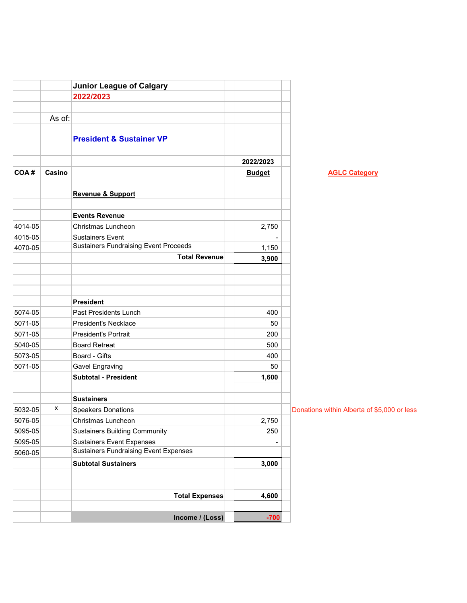|         |        | <b>Junior League of Calgary</b>                                                  |               |                                             |
|---------|--------|----------------------------------------------------------------------------------|---------------|---------------------------------------------|
|         |        | 2022/2023                                                                        |               |                                             |
|         |        |                                                                                  |               |                                             |
|         | As of: |                                                                                  |               |                                             |
|         |        |                                                                                  |               |                                             |
|         |        | <b>President &amp; Sustainer VP</b>                                              |               |                                             |
|         |        |                                                                                  |               |                                             |
|         |        |                                                                                  | 2022/2023     |                                             |
| COA#    | Casino |                                                                                  | <b>Budget</b> | <b>AGLC Category</b>                        |
|         |        |                                                                                  |               |                                             |
|         |        | <b>Revenue &amp; Support</b>                                                     |               |                                             |
|         |        |                                                                                  |               |                                             |
|         |        | <b>Events Revenue</b>                                                            |               |                                             |
| 4014-05 |        | Christmas Luncheon                                                               | 2,750         |                                             |
| 4015-05 |        | <b>Sustainers Event</b>                                                          |               |                                             |
| 4070-05 |        | <b>Sustainers Fundraising Event Proceeds</b>                                     | 1,150         |                                             |
|         |        | <b>Total Revenue</b>                                                             | 3,900         |                                             |
|         |        |                                                                                  |               |                                             |
|         |        |                                                                                  |               |                                             |
|         |        |                                                                                  |               |                                             |
|         |        | <b>President</b>                                                                 |               |                                             |
| 5074-05 |        | Past Presidents Lunch                                                            | 400           |                                             |
| 5071-05 |        | <b>President's Necklace</b>                                                      | 50            |                                             |
| 5071-05 |        | <b>President's Portrait</b>                                                      | 200           |                                             |
| 5040-05 |        | <b>Board Retreat</b>                                                             | 500           |                                             |
| 5073-05 |        | Board - Gifts                                                                    | 400           |                                             |
| 5071-05 |        | <b>Gavel Engraving</b>                                                           | 50            |                                             |
|         |        | <b>Subtotal - President</b>                                                      | 1,600         |                                             |
|         |        | <b>Sustainers</b>                                                                |               |                                             |
|         | x      |                                                                                  |               |                                             |
| 5032-05 |        | <b>Speakers Donations</b>                                                        |               | Donations within Alberta of \$5,000 or less |
| 5076-05 |        | Christmas Luncheon                                                               | 2,750         |                                             |
| 5095-05 |        | <b>Sustainers Building Community</b>                                             | 250           |                                             |
| 5095-05 |        | <b>Sustainers Event Expenses</b><br><b>Sustainers Fundraising Event Expenses</b> |               |                                             |
| 5060-05 |        |                                                                                  |               |                                             |
|         |        | <b>Subtotal Sustainers</b>                                                       | 3,000         |                                             |
|         |        |                                                                                  |               |                                             |
|         |        | <b>Total Expenses</b>                                                            | 4,600         |                                             |
|         |        |                                                                                  |               |                                             |
|         |        | Income / (Loss)                                                                  | $-700$        |                                             |